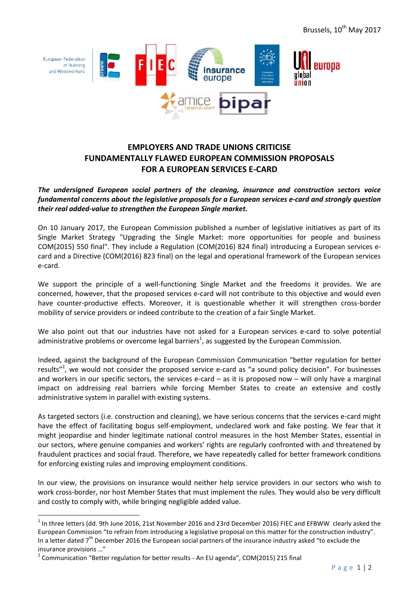

# **EMPLOYERS AND TRADE UNIONS CRITICISE FUNDAMENTALLY FLAWED EUROPEAN COMMISSION PROPOSALS FOR A EUROPEAN SERVICES E-CARD**

*The undersigned European social partners of the cleaning, insurance and construction sectors voice fundamental concerns about the legislative proposals for a European services e-card and strongly question their real added-value to strengthen the European Single market.*

On 10 January 2017, the European Commission published a number of legislative initiatives as part of its Single Market Strategy "Upgrading the Single Market: more opportunities for people and business COM(2015) 550 final". They include a Regulation (COM(2016) 824 final) introducing a European services e-<br>card and a Directive COM(2015) 550 final". They include a Regulation (COM(2016) 824 final) introducing a European services e card and a Directive (COM(2016) 823 final) on the legal and operational framework of the European services e-card.

We support the principle of a well-functioning Single Market and the freedoms it provides. We are concerned, however, that the proposed services e-card will not contribute to this objective and would even have counter-productive effects. Moreover, it is questionable whether it will strengthen cross-border<br>mobility of service providers or indeed contribute to the creation of a fair Single Market. mobility of service providers or indeed contribute to the creation of a fair Single Market.

We also point out that our industries have not asked for a European services e-card to solve potential administrative problems or overcome legal barriers<sup>1</sup>, as suggested by the European Commission. We also point out that our industries have not asked for a European services e-card to solve potential<br>administrative problems or overcome legal barriers<sup>1</sup>, as suggested by the European Commission.<br>Indeed, against the bac

Indeed, against the background of the European Commission Communication "better regulation for better results"<sup>2</sup>, we would not consider the proposed service e-card as "a sound policy decision". For businesses and workers and workers in our specific sectors, the services e-card – as it is proposed now – will only have a marginal impact on addressing real barriers while forcing Member States to create an extensive and costly administrative system in parallel with existing systems.

As targeted sectors (i.e. construction and cleaning), we have serious concerns that the services e-card might have the effect of facilitating bogus self-employment, undeclared work and fake posting. We fear that it might jeopardise and hinder legitimate national control measures in the host Member States, essential in our sectors, where genuine companies and workers' rights are regularly confronted with and threatened by fraudulent practices and social fraud. Therefore, we have repeatedly called for better framework conditions for enforcing existing rules and improving employment conditions. **EURO CONSER AND CONFER AND TRADE UNIONER SCRIPTISE**<br> **EDRA A EUROPEAN SERVICES E-CARD**<br> **EDRA A EUROPEAN SERVICES E-CARD**<br> **EDRA A EUROPEAN SERVICES E-CARD**<br> **EDRA A EUROPEAN SERVICES E-CARD**<br> **EDRA A EUROPEAN SERVICES E**might jeopardise and hinder legitimate national control measures in the host Member States, essential in<br>our sectors, where genuine companies and workers' rights are regularly confronted with and threatened by<br>fraudulent p

In our view, the provisions on insurance would neither help service providers in our sectors who wish to for enforcing existing rules and improving employment conditions.<br>In our view, the provisions on insurance would neither help service providers in our sectors who wish to<br>work cross-border, nor host Member States that must and costly to comply with, while bringing negligible added value.

clearly asked the<br>ction industry".<br>xclude the<br>P a g e 1 | 2 <sup>1</sup> In three letters (dd. 9th June 2016, 21st November 2016 and 23rd December 2016) FIEC and EFBWW clearly asked the<br>European Commission "to refrain from introducing a legislative proposal on this matter for the constructi European Commission "to refrain from introducing a legislative proposal on this matter for the construction industry". In a letter dated 7<sup>th</sup> December 2016 the European social partners of the insurance industry asked "to exclude the insurance provisions …"

<sup>&</sup>lt;sup>2</sup> Communication "Better regulation for better results - An EU agenda", COM(2015) 215 final